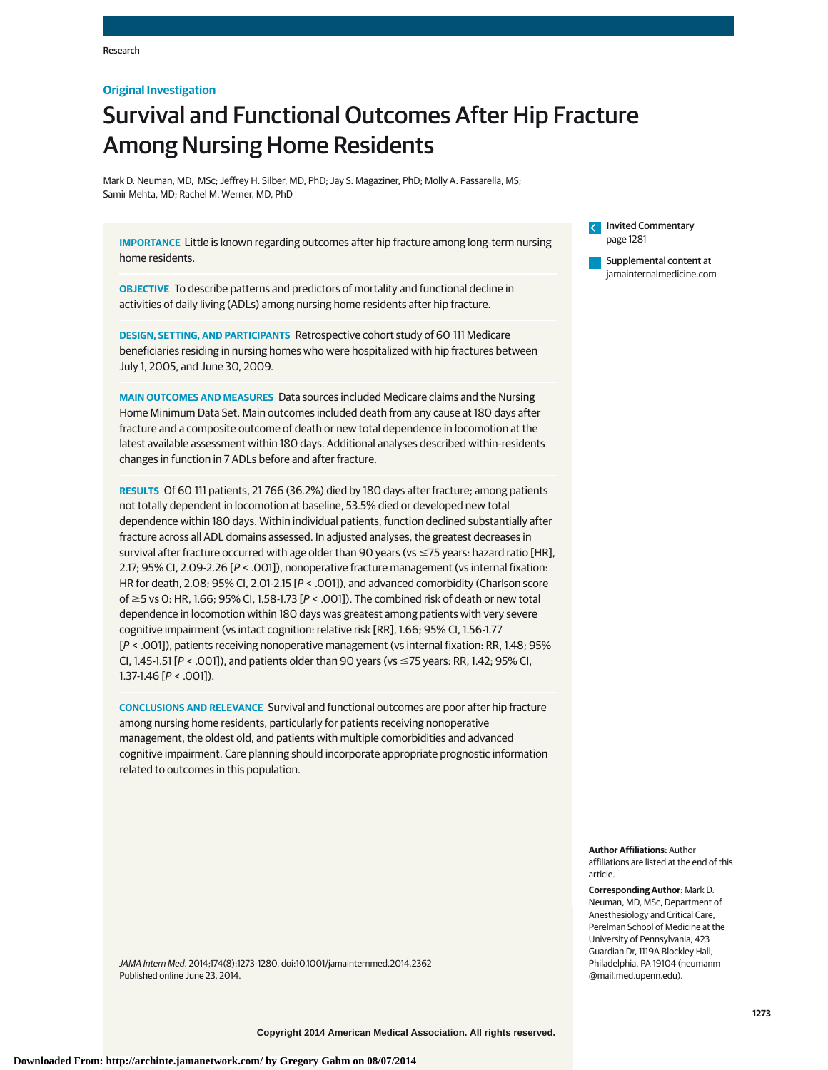# **Original Investigation**

# Survival and Functional Outcomes After Hip Fracture Among Nursing Home Residents

Mark D. Neuman, MD, MSc; Jeffrey H. Silber, MD, PhD; Jay S. Magaziner, PhD; Molly A. Passarella, MS; Samir Mehta, MD; Rachel M. Werner, MD, PhD

**IMPORTANCE** Little is known regarding outcomes after hip fracture among long-term nursing home residents.

**OBJECTIVE** To describe patterns and predictors of mortality and functional decline in activities of daily living (ADLs) among nursing home residents after hip fracture.

**DESIGN, SETTING, AND PARTICIPANTS** Retrospective cohort study of 60 111 Medicare beneficiaries residing in nursing homes who were hospitalized with hip fractures between July 1, 2005, and June 30, 2009.

**MAIN OUTCOMES AND MEASURES** Data sources included Medicare claims and the Nursing Home Minimum Data Set. Main outcomes included death from any cause at 180 days after fracture and a composite outcome of death or new total dependence in locomotion at the latest available assessment within 180 days. Additional analyses described within-residents changes in function in 7 ADLs before and after fracture.

**RESULTS** Of 60 111 patients, 21 766 (36.2%) died by 180 days after fracture; among patients not totally dependent in locomotion at baseline, 53.5% died or developed new total dependence within 180 days. Within individual patients, function declined substantially after fracture across all ADL domains assessed. In adjusted analyses, the greatest decreases in survival after fracture occurred with age older than 90 years (vs  $\leq$ 75 years: hazard ratio [HR], 2.17; 95% CI, 2.09-2.26 [P < .001]), nonoperative fracture management (vs internal fixation: HR for death, 2.08; 95% CI, 2.01-2.15 [P < .001]), and advanced comorbidity (Charlson score of  $\geq$  5 vs 0: HR, 1.66; 95% CI, 1.58-1.73 [P < .001]). The combined risk of death or new total dependence in locomotion within 180 days was greatest among patients with very severe cognitive impairment (vs intact cognition: relative risk [RR], 1.66; 95% CI, 1.56-1.77 [P < .001]), patients receiving nonoperative management (vs internal fixation: RR, 1.48; 95% CI, 1.45-1.51 [ $P <$  .001]), and patients older than 90 years (vs  $\leq$ 75 years: RR, 1.42; 95% CI, 1.37-1.46 [P < .001]).

**CONCLUSIONS AND RELEVANCE** Survival and functional outcomes are poor after hip fracture among nursing home residents, particularly for patients receiving nonoperative management, the oldest old, and patients with multiple comorbidities and advanced cognitive impairment. Care planning should incorporate appropriate prognostic information related to outcomes in this population.

JAMA Intern Med. 2014;174(8):1273-1280. doi[:10.1001/jamainternmed.2014.2362](http://jama.jamanetwork.com/article.aspx?doi=10.1001/jamainternmed.2014.2362&utm_campaign=articlePDF%26utm_medium=articlePDFlink%26utm_source=articlePDF%26utm_content=jamainternmed.2014.2362) Published online June 23, 2014.

Invited Commentary [page 1281](http://jama.jamanetwork.com/article.aspx?doi=10.1001/jamainternmed.2014.999&utm_campaign=articlePDF%26utm_medium=articlePDFlink%26utm_source=articlePDF%26utm_content=jamainternmed.2014.2362)

[Supplemental content](http://jama.jamanetwork.com/article.aspx?doi=10.1001/jamainternmed.2014.2362&utm_campaign=articlePDF%26utm_medium=articlePDFlink%26utm_source=articlePDF%26utm_content=jamainternmed.2014.2362) at **LET** [jamainternalmedicine.com](http://www.jamainternalmedicine.com/?utm_campaign=articlePDF%26utm_medium=articlePDFlink%26utm_source=articlePDF%26utm_content=jamainternmed.2014.2362)

**Author Affiliations:** Author affiliations are listed at the end of this article.

**Corresponding Author:** Mark D. Neuman, MD, MSc, Department of Anesthesiology and Critical Care, Perelman School of Medicine at the University of Pennsylvania, 423 Guardian Dr, 1119A Blockley Hall, Philadelphia, PA 19104 [\(neumanm](mailto:neumanm@mail.med.upenn.edu) [@mail.med.upenn.edu\)](mailto:neumanm@mail.med.upenn.edu).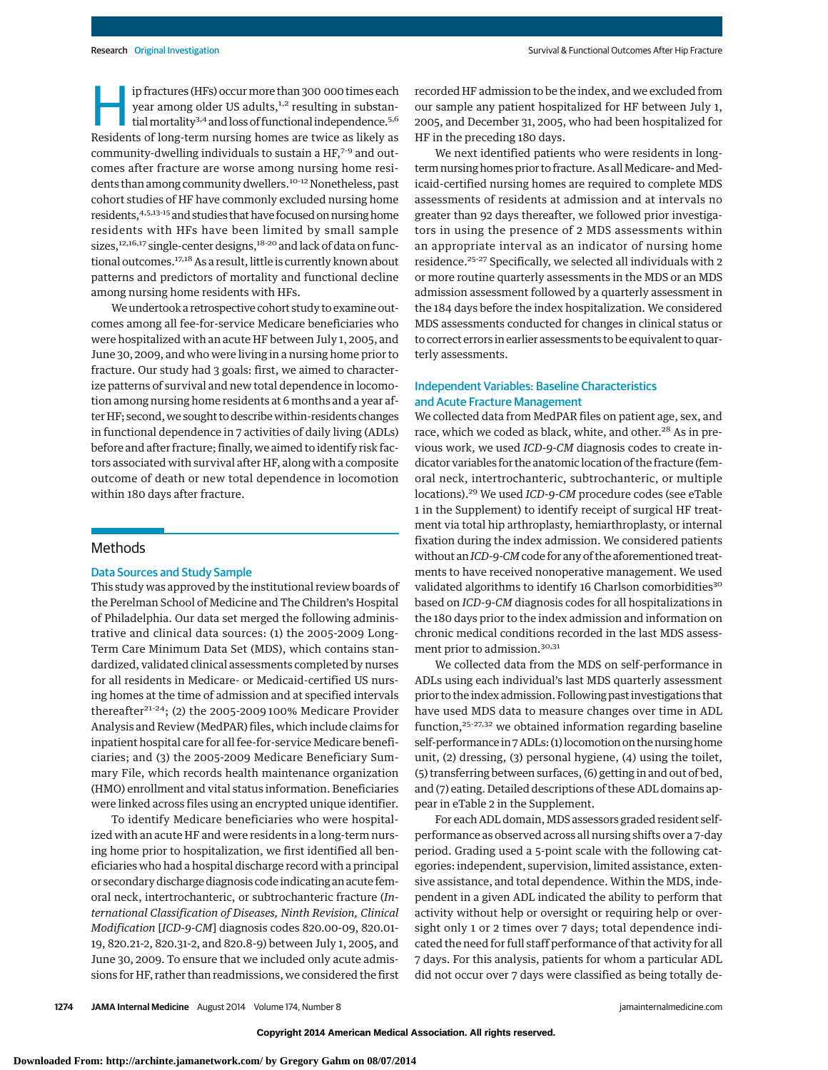ip fractures (HFs) occur more than 300 000 times each<br>year among older US adults,  $^{1,2}$  resulting in substantial mortality  $^{3,4}$  and loss of functional independence.  $^{5,6}$ <br>Posidents of long-term nursing bomes are tw year among older US adults,<sup>1,2</sup> resulting in substantial mortality<sup>3,4</sup> and loss of functional independence.<sup>5,6</sup> Residents of long-term nursing homes are twice as likely as community-dwelling individuals to sustain a  $HF<sub>7-9</sub>$  and outcomes after fracture are worse among nursing home residents than among community dwellers.<sup>10-12</sup> Nonetheless, past cohort studies of HF have commonly excluded nursing home residents, 4,5,13-15 and studies that have focused on nursing home residents with HFs have been limited by small sample sizes,<sup>12,16,17</sup> single-center designs,<sup>18-20</sup> and lack of data on functional outcomes.<sup>17,18</sup> As a result, little is currently known about patterns and predictors of mortality and functional decline among nursing home residents with HFs.

We undertook a retrospective cohort study to examine outcomes among all fee-for-service Medicare beneficiaries who were hospitalized with an acute HF between July 1, 2005, and June 30, 2009, and who were living in a nursing home prior to fracture. Our study had 3 goals: first, we aimed to characterize patterns of survival and new total dependence in locomotion among nursing home residents at 6 months and a year after HF; second, we sought to describe within-residents changes in functional dependence in 7 activities of daily living (ADLs) before and after fracture; finally, we aimed to identify risk factors associated with survival after HF, along with a composite outcome of death or new total dependence in locomotion within 180 days after fracture.

# **Methods**

## Data Sources and Study Sample

This study was approved by the institutional review boards of the Perelman School of Medicine and The Children's Hospital of Philadelphia. Our data set merged the following administrative and clinical data sources: (1) the 2005-2009 Long-Term Care Minimum Data Set (MDS), which contains standardized, validated clinical assessments completed by nurses for all residents in Medicare- or Medicaid-certified US nursing homes at the time of admission and at specified intervals thereafter $21-24$ ; (2) the 2005-2009 100% Medicare Provider Analysis and Review (MedPAR) files, which include claims for inpatient hospital care for all fee-for-service Medicare beneficiaries; and (3) the 2005-2009 Medicare Beneficiary Summary File, which records health maintenance organization (HMO) enrollment and vital status information. Beneficiaries were linked across files using an encrypted unique identifier.

To identify Medicare beneficiaries who were hospitalized with an acute HF and were residents in a long-term nursing home prior to hospitalization, we first identified all beneficiaries who had a hospital discharge record with a principal or secondary discharge diagnosis code indicating an acute femoral neck, intertrochanteric, or subtrochanteric fracture (*International Classification of Diseases, Ninth Revision, Clinical Modification* [*ICD-9-CM*] diagnosis codes 820.00-09, 820.01- 19, 820.21-2, 820.31-2, and 820.8-9) between July 1, 2005, and June 30, 2009. To ensure that we included only acute admissions for HF, rather than readmissions, we considered the first recorded HF admission to be the index, and we excluded from our sample any patient hospitalized for HF between July 1, 2005, and December 31, 2005, who had been hospitalized for HF in the preceding 180 days.

We next identified patients who were residents in longterm nursing homes prior to fracture. As all Medicare- and Medicaid-certified nursing homes are required to complete MDS assessments of residents at admission and at intervals no greater than 92 days thereafter, we followed prior investigators in using the presence of 2 MDS assessments within an appropriate interval as an indicator of nursing home residence.25-27 Specifically, we selected all individuals with 2 or more routine quarterly assessments in the MDS or an MDS admission assessment followed by a quarterly assessment in the 184 days before the index hospitalization. We considered MDS assessments conducted for changes in clinical status or to correct errors in earlier assessments to be equivalent to quarterly assessments.

# Independent Variables: Baseline Characteristics and Acute Fracture Management

We collected data from MedPAR files on patient age, sex, and race, which we coded as black, white, and other.<sup>28</sup> As in previous work, we used *ICD-9-CM* diagnosis codes to create indicator variables for the anatomic location of the fracture (femoral neck, intertrochanteric, subtrochanteric, or multiple locations).29 We used *ICD-9-CM* procedure codes (see eTable 1 in the [Supplement\)](http://jama.jamanetwork.com/article.aspx?doi=10.1001/jamainternmed.2014.2362&utm_campaign=articlePDF%26utm_medium=articlePDFlink%26utm_source=articlePDF%26utm_content=jamainternmed.2014.2362) to identify receipt of surgical HF treatment via total hip arthroplasty, hemiarthroplasty, or internal fixation during the index admission. We considered patients without an*ICD-9-CM*code for any of the aforementioned treatments to have received nonoperative management. We used validated algorithms to identify 16 Charlson comorbidities<sup>30</sup> based on *ICD-9-CM* diagnosis codes for all hospitalizations in the 180 days prior to the index admission and information on chronic medical conditions recorded in the last MDS assessment prior to admission.<sup>30,31</sup>

We collected data from the MDS on self-performance in ADLs using each individual's last MDS quarterly assessment prior to the index admission. Following past investigations that have used MDS data to measure changes over time in ADL function,<sup>25-27,32</sup> we obtained information regarding baseline self-performance in 7 ADLs: (1) locomotion on the nursing home unit, (2) dressing, (3) personal hygiene, (4) using the toilet, (5) transferring between surfaces, (6) getting in and out of bed, and (7) eating. Detailed descriptions of these ADL domains appear in eTable 2 in the [Supplement.](http://jama.jamanetwork.com/article.aspx?doi=10.1001/jamainternmed.2014.2362&utm_campaign=articlePDF%26utm_medium=articlePDFlink%26utm_source=articlePDF%26utm_content=jamainternmed.2014.2362)

For each ADL domain, MDS assessors graded resident selfperformance as observed across all nursing shifts over a 7-day period. Grading used a 5-point scale with the following categories: independent, supervision, limited assistance, extensive assistance, and total dependence. Within the MDS, independent in a given ADL indicated the ability to perform that activity without help or oversight or requiring help or oversight only 1 or 2 times over 7 days; total dependence indicated the need for full staff performance of that activity for all 7 days. For this analysis, patients for whom a particular ADL did not occur over 7 days were classified as being totally de-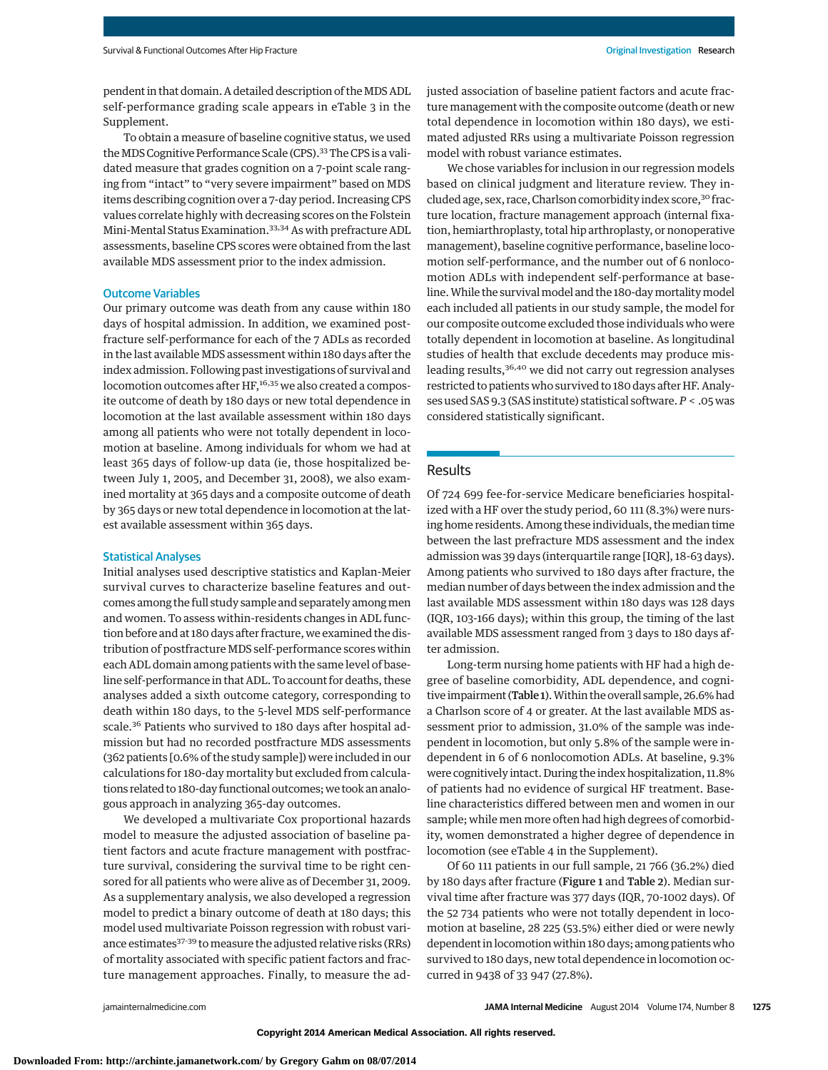pendent in that domain. A detailed description of the MDS ADL self-performance grading scale appears in eTable 3 in the [Supplement.](http://jama.jamanetwork.com/article.aspx?doi=10.1001/jamainternmed.2014.2362&utm_campaign=articlePDF%26utm_medium=articlePDFlink%26utm_source=articlePDF%26utm_content=jamainternmed.2014.2362)

To obtain a measure of baseline cognitive status, we used the MDS Cognitive Performance Scale (CPS).<sup>33</sup> The CPS is a validated measure that grades cognition on a 7-point scale ranging from "intact" to "very severe impairment" based on MDS items describing cognition over a 7-day period. Increasing CPS values correlate highly with decreasing scores on the Folstein Mini-Mental Status Examination.33,34 As with prefracture ADL assessments, baseline CPS scores were obtained from the last available MDS assessment prior to the index admission.

### Outcome Variables

Our primary outcome was death from any cause within 180 days of hospital admission. In addition, we examined postfracture self-performance for each of the 7 ADLs as recorded in the last available MDS assessment within 180 days after the index admission. Following past investigations of survival and locomotion outcomes after HF,<sup>16,35</sup> we also created a composite outcome of death by 180 days or new total dependence in locomotion at the last available assessment within 180 days among all patients who were not totally dependent in locomotion at baseline. Among individuals for whom we had at least 365 days of follow-up data (ie, those hospitalized between July 1, 2005, and December 31, 2008), we also examined mortality at 365 days and a composite outcome of death by 365 days or new total dependence in locomotion at the latest available assessment within 365 days.

## Statistical Analyses

Initial analyses used descriptive statistics and Kaplan-Meier survival curves to characterize baseline features and outcomes among the full study sample and separately amongmen and women. To assess within-residents changes in ADL function before and at 180 days after fracture, we examined the distribution of postfracture MDS self-performance scores within each ADL domain among patients with the same level of baseline self-performance in that ADL. To account for deaths, these analyses added a sixth outcome category, corresponding to death within 180 days, to the 5-level MDS self-performance scale.<sup>36</sup> Patients who survived to 180 days after hospital admission but had no recorded postfracture MDS assessments (362 patients [0.6% of the study sample]) were included in our calculations for 180-day mortality but excluded from calculations related to 180-day functional outcomes; we took an analogous approach in analyzing 365-day outcomes.

We developed a multivariate Cox proportional hazards model to measure the adjusted association of baseline patient factors and acute fracture management with postfracture survival, considering the survival time to be right censored for all patients who were alive as of December 31, 2009. As a supplementary analysis, we also developed a regression model to predict a binary outcome of death at 180 days; this model used multivariate Poisson regression with robust variance estimates<sup>37-39</sup> to measure the adjusted relative risks (RRs) of mortality associated with specific patient factors and fracture management approaches. Finally, to measure the adjusted association of baseline patient factors and acute fracture management with the composite outcome (death or new total dependence in locomotion within 180 days), we estimated adjusted RRs using a multivariate Poisson regression model with robust variance estimates.

We chose variables for inclusion in our regression models based on clinical judgment and literature review. They included age, sex, race, Charlson comorbidity index score,<sup>30</sup> fracture location, fracture management approach (internal fixation, hemiarthroplasty, total hip arthroplasty, or nonoperative management), baseline cognitive performance, baseline locomotion self-performance, and the number out of 6 nonlocomotion ADLs with independent self-performance at baseline. While the survival model and the 180-day mortality model each included all patients in our study sample, the model for our composite outcome excluded those individuals who were totally dependent in locomotion at baseline. As longitudinal studies of health that exclude decedents may produce misleading results,<sup>36,40</sup> we did not carry out regression analyses restricted to patients who survived to 180 days after HF. Analyses used SAS 9.3 (SAS institute) statistical software. *P* < .05 was considered statistically significant.

## Results

Of 724 699 fee-for-service Medicare beneficiaries hospitalized with a HF over the study period, 60 111 (8.3%) were nursing home residents. Among these individuals, themedian time between the last prefracture MDS assessment and the index admission was 39 days (interquartile range [IQR], 18-63 days). Among patients who survived to 180 days after fracture, the median number of days between the index admission and the last available MDS assessment within 180 days was 128 days (IQR, 103-166 days); within this group, the timing of the last available MDS assessment ranged from 3 days to 180 days after admission.

Long-term nursing home patients with HF had a high degree of baseline comorbidity, ADL dependence, and cognitive impairment (Table 1). Within the overall sample, 26.6% had a Charlson score of 4 or greater. At the last available MDS assessment prior to admission, 31.0% of the sample was independent in locomotion, but only 5.8% of the sample were independent in 6 of 6 nonlocomotion ADLs. At baseline, 9.3% were cognitively intact. During the index hospitalization, 11.8% of patients had no evidence of surgical HF treatment. Baseline characteristics differed between men and women in our sample; while men more often had high degrees of comorbidity, women demonstrated a higher degree of dependence in locomotion (see eTable 4 in the [Supplement\)](http://jama.jamanetwork.com/article.aspx?doi=10.1001/jamainternmed.2014.2362&utm_campaign=articlePDF%26utm_medium=articlePDFlink%26utm_source=articlePDF%26utm_content=jamainternmed.2014.2362).

Of 60 111 patients in our full sample, 21 766 (36.2%) died by 180 days after fracture (Figure 1 and Table 2). Median survival time after fracture was 377 days (IQR, 70-1002 days). Of the 52 734 patients who were not totally dependent in locomotion at baseline, 28 225 (53.5%) either died or were newly dependent in locomotion within 180 days; among patients who survived to 180 days, new total dependence in locomotion occurred in 9438 of 33 947 (27.8%).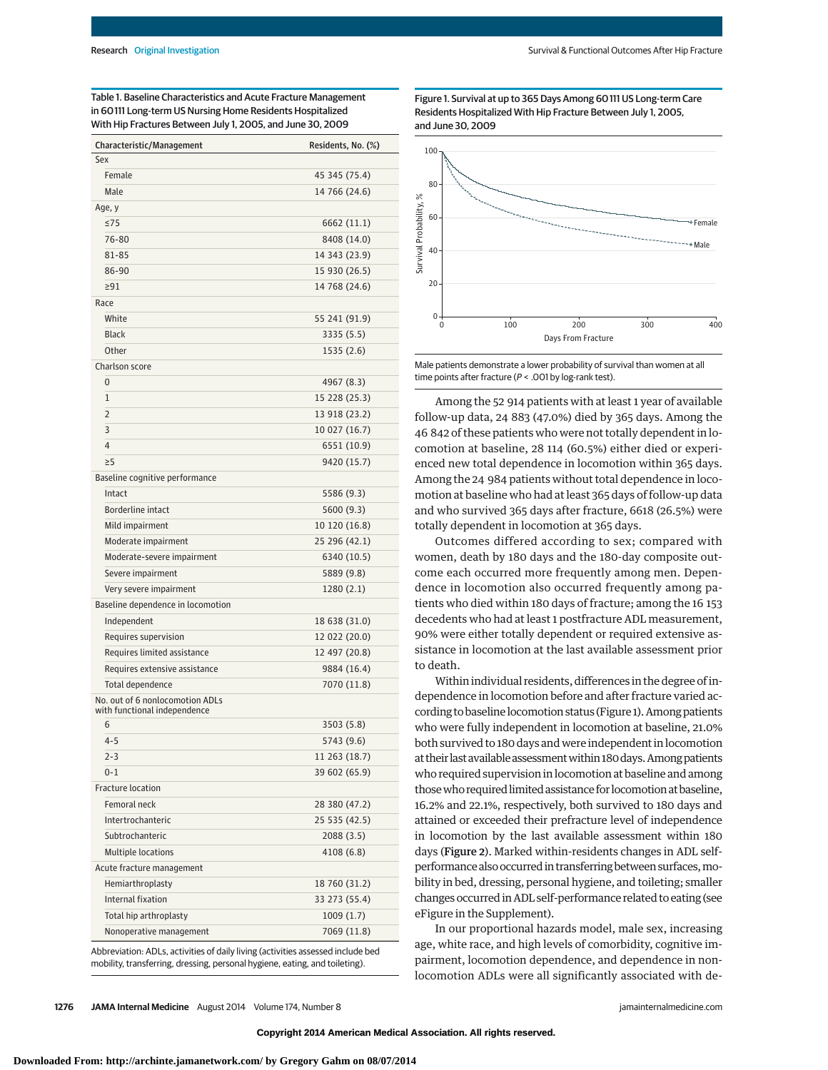Table 1. Baseline Characteristics and Acute Fracture Management in 60111 Long-term US Nursing Home Residents Hospitalized With Hip Fractures Between July 1, 2005, and June 30, 2009

| Characteristic/Management                                       | Residents, No. (%) |
|-----------------------------------------------------------------|--------------------|
| Sex                                                             |                    |
| Female                                                          | 45 345 (75.4)      |
| Male                                                            | 14 766 (24.6)      |
| Age, y                                                          |                    |
| $\leq$ 75                                                       | 6662 (11.1)        |
| 76-80                                                           | 8408 (14.0)        |
| 81-85                                                           | 14 343 (23.9)      |
| 86-90                                                           | 15 930 (26.5)      |
| $\geq$ 91                                                       | 14 768 (24.6)      |
| Race                                                            |                    |
| White                                                           | 55 241 (91.9)      |
| <b>Black</b>                                                    | 3335 (5.5)         |
| Other                                                           | 1535 (2.6)         |
| Charlson score                                                  |                    |
| 0                                                               | 4967 (8.3)         |
| 1                                                               | 15 228 (25.3)      |
| $\overline{2}$                                                  | 13 918 (23.2)      |
| 3                                                               | 10 027 (16.7)      |
| $\overline{4}$                                                  | 6551 (10.9)        |
| $\geq 5$                                                        | 9420 (15.7)        |
| Baseline cognitive performance                                  |                    |
| Intact                                                          | 5586 (9.3)         |
| Borderline intact                                               | 5600 (9.3)         |
| Mild impairment                                                 | 10 120 (16.8)      |
| Moderate impairment                                             | 25 296 (42.1)      |
| Moderate-severe impairment                                      | 6340 (10.5)        |
| Severe impairment                                               | 5889 (9.8)         |
| Very severe impairment                                          | 1280(2.1)          |
| Baseline dependence in locomotion                               |                    |
| Independent                                                     | 18 638 (31.0)      |
| Requires supervision                                            | 12 022 (20.0)      |
| Requires limited assistance                                     | 12 497 (20.8)      |
| Requires extensive assistance                                   | 9884 (16.4)        |
| Total dependence                                                | 7070 (11.8)        |
| No. out of 6 nonlocomotion ADLs<br>with functional independence |                    |
| 6                                                               | 3503 (5.8)         |
| $4 - 5$                                                         | 5743 (9.6)         |
| $2 - 3$                                                         | 11 263 (18.7)      |
| $0 - 1$                                                         | 39 602 (65.9)      |
| Fracture location                                               |                    |
| Femoral neck                                                    | 28 380 (47.2)      |
| Intertrochanteric                                               | 25 535 (42.5)      |
| Subtrochanteric                                                 | 2088 (3.5)         |
| Multiple locations                                              | 4108 (6.8)         |
| Acute fracture management                                       |                    |
| Hemiarthroplasty                                                | 18 760 (31.2)      |
| Internal fixation                                               | 33 273 (55.4)      |
| Total hip arthroplasty                                          | 1009(1.7)          |
| Nonoperative management                                         | 7069 (11.8)        |
|                                                                 |                    |

Abbreviation: ADLs, activities of daily living (activities assessed include bed mobility, transferring, dressing, personal hygiene, eating, and toileting).

Figure 1. Survival at up to 365 Days Among 60111 US Long-term Care Residents Hospitalized With Hip Fracture Between July 1, 2005, and June 30, 2009



Male patients demonstrate a lower probability of survival than women at all time points after fracture (P < .001 by log-rank test).

Among the 52 914 patients with at least 1 year of available follow-up data, 24 883 (47.0%) died by 365 days. Among the 46 842 of these patients who were not totally dependent in locomotion at baseline, 28 114 (60.5%) either died or experienced new total dependence in locomotion within 365 days. Among the 24 984 patients without total dependence in locomotion at baseline who had at least 365 days of follow-up data and who survived 365 days after fracture, 6618 (26.5%) were totally dependent in locomotion at 365 days.

Outcomes differed according to sex; compared with women, death by 180 days and the 180-day composite outcome each occurred more frequently among men. Dependence in locomotion also occurred frequently among patients who died within 180 days of fracture; among the 16 153 decedents who had at least 1 postfracture ADL measurement, 90% were either totally dependent or required extensive assistance in locomotion at the last available assessment prior to death.

Within individual residents, differences in the degree of independence in locomotion before and after fracture varied according to baseline locomotion status (Figure 1). Among patients who were fully independent in locomotion at baseline, 21.0% both survived to 180 days and were independent in locomotion at their last available assessmentwithin 180days.Amongpatients who required supervision in locomotion at baseline and among thosewho required limited assistance for locomotion at baseline, 16.2% and 22.1%, respectively, both survived to 180 days and attained or exceeded their prefracture level of independence in locomotion by the last available assessment within 180 days (Figure 2). Marked within-residents changes in ADL selfperformance also occurred in transferring between surfaces,mobility in bed, dressing, personal hygiene, and toileting; smaller changes occurred in ADL self-performance related to eating (see eFigure in the [Supplement\)](http://jama.jamanetwork.com/article.aspx?doi=10.1001/jamainternmed.2014.2362&utm_campaign=articlePDF%26utm_medium=articlePDFlink%26utm_source=articlePDF%26utm_content=jamainternmed.2014.2362).

In our proportional hazards model, male sex, increasing age, white race, and high levels of comorbidity, cognitive impairment, locomotion dependence, and dependence in nonlocomotion ADLs were all significantly associated with de-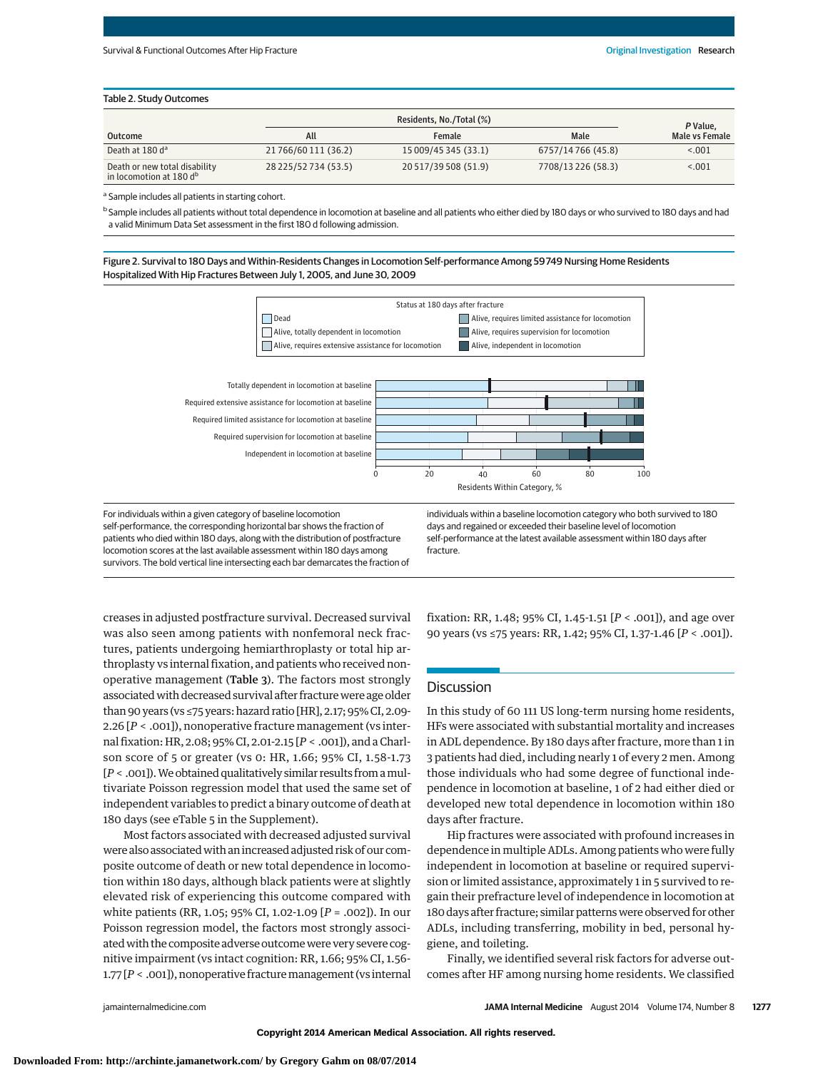#### Table 2. Study Outcomes

|                                                                      |                      | Residents, No./Total (%) |                    |                            |  |
|----------------------------------------------------------------------|----------------------|--------------------------|--------------------|----------------------------|--|
| Outcome                                                              | All                  | <b>Female</b>            | Male               | P Value,<br>Male vs Female |  |
| Death at 180 d <sup>a</sup>                                          | 21766/60111 (36.2)   | 15 009/45 345 (33.1)     | 6757/14766 (45.8)  | < 0.001                    |  |
| Death or new total disability<br>in locomotion at 180 d <sup>b</sup> | 28 225/52 734 (53.5) | 20 517/39 508 (51.9)     | 7708/13 226 (58.3) | < 0.001                    |  |

<sup>a</sup> Sample includes all patients in starting cohort.

b Sample includes all patients without total dependence in locomotion at baseline and all patients who either died by 180 days or who survived to 180 days and had a valid Minimum Data Set assessment in the first 180 d following admission.

Figure 2. Survival to 180 Days and Within-Residents Changes in Locomotion Self-performance Among 59749 Nursing Home Residents Hospitalized With Hip Fractures Between July 1, 2005, and June 30, 2009



For individuals within a given category of baseline locomotion self-performance, the corresponding horizontal bar shows the fraction of patients who died within 180 days, along with the distribution of postfracture locomotion scores at the last available assessment within 180 days among survivors. The bold vertical line intersecting each bar demarcates the fraction of individuals within a baseline locomotion category who both survived to 180 days and regained or exceeded their baseline level of locomotion self-performance at the latest available assessment within 180 days after fracture.

creases in adjusted postfracture survival. Decreased survival was also seen among patients with nonfemoral neck fractures, patients undergoing hemiarthroplasty or total hip arthroplasty vs internal fixation, and patients who received nonoperative management (Table 3). The factors most strongly associated with decreased survival after fracture were age older than 90 years (vs ≤75 years: hazard ratio [HR], 2.17; 95% CI, 2.09- 2.26 [*P* < .001]), nonoperative fracture management (vs internal fixation: HR, 2.08; 95% CI, 2.01-2.15 [*P* < .001]), and a Charlson score of 5 or greater (vs 0: HR, 1.66; 95% CI, 1.58-1.73 [*P* < .001]).We obtained qualitatively similar results from amultivariate Poisson regression model that used the same set of independent variables to predict a binary outcome of death at 180 days (see eTable 5 in the [Supplement\)](http://jama.jamanetwork.com/article.aspx?doi=10.1001/jamainternmed.2014.2362&utm_campaign=articlePDF%26utm_medium=articlePDFlink%26utm_source=articlePDF%26utm_content=jamainternmed.2014.2362).

Most factors associated with decreased adjusted survival were also associatedwith an increased adjusted risk of our composite outcome of death or new total dependence in locomotion within 180 days, although black patients were at slightly elevated risk of experiencing this outcome compared with white patients (RR, 1.05; 95% CI, 1.02-1.09 [*P* = .002]). In our Poisson regression model, the factors most strongly associated with the composite adverse outcome were very severe cognitive impairment (vs intact cognition: RR, 1.66; 95% CI, 1.56- 1.77 [*P* < .001]), nonoperative fracturemanagement (vs internal fixation: RR, 1.48; 95% CI, 1.45-1.51 [*P* < .001]), and age over 90 years (vs ≤75 years: RR, 1.42; 95% CI, 1.37-1.46 [*P* < .001]).

## Discussion

In this study of 60 111 US long-term nursing home residents, HFs were associated with substantial mortality and increases in ADL dependence. By 180 days after fracture, more than 1 in 3 patients had died, including nearly 1 of every 2 men. Among those individuals who had some degree of functional independence in locomotion at baseline, 1 of 2 had either died or developed new total dependence in locomotion within 180 days after fracture.

Hip fractures were associated with profound increases in dependence in multiple ADLs. Among patients who were fully independent in locomotion at baseline or required supervision or limited assistance, approximately 1 in 5 survived to regain their prefracture level of independence in locomotion at 180 days after fracture; similar patterns were observed for other ADLs, including transferring, mobility in bed, personal hygiene, and toileting.

Finally, we identified several risk factors for adverse outcomes after HF among nursing home residents. We classified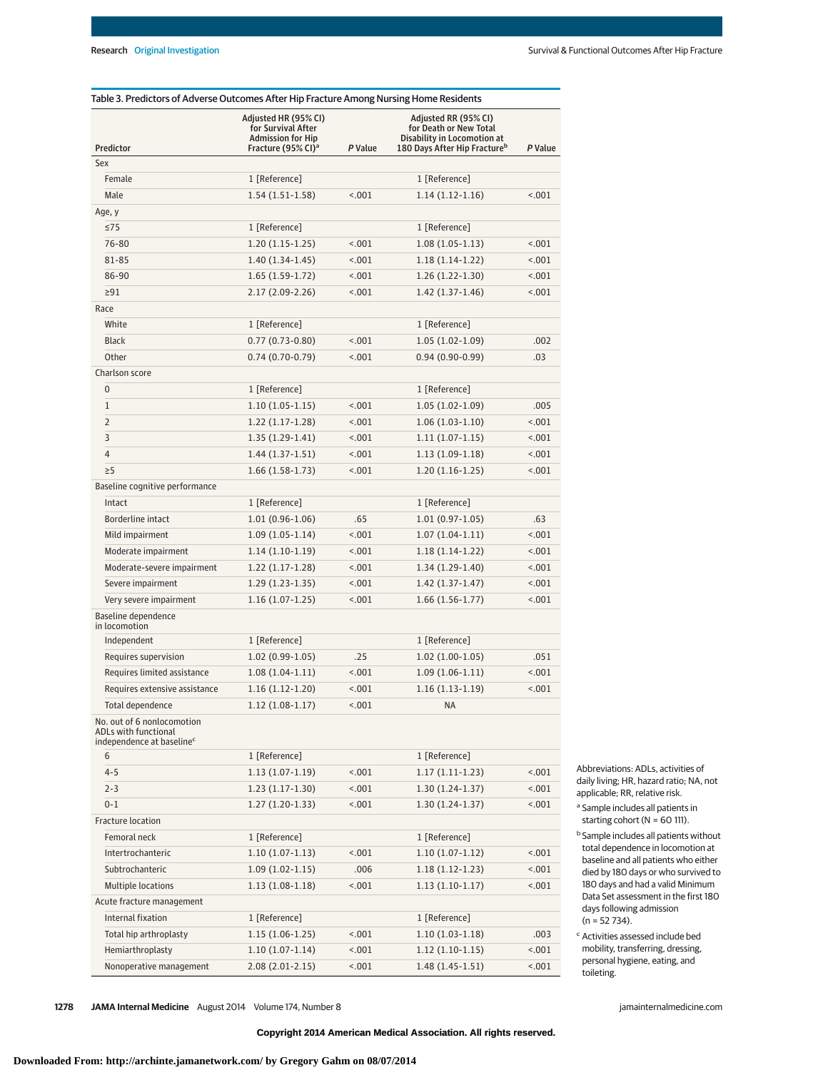|                                                                                             | Adjusted HR (95% CI)<br>for Survival After<br><b>Admission for Hip</b> |         | Adjusted RR (95% CI)<br>for Death or New Total<br>Disability in Locomotion at |         |
|---------------------------------------------------------------------------------------------|------------------------------------------------------------------------|---------|-------------------------------------------------------------------------------|---------|
| Predictor                                                                                   | Fracture (95% CI) <sup>a</sup>                                         | P Value | 180 Days After Hip Fracture <sup>b</sup>                                      | P Value |
| Sex                                                                                         |                                                                        |         |                                                                               |         |
| Female                                                                                      | 1 [Reference]                                                          |         | 1 [Reference]                                                                 |         |
| Male                                                                                        | $1.54(1.51-1.58)$                                                      | < .001  | $1.14(1.12-1.16)$                                                             | < .001  |
| Age, y                                                                                      |                                                                        |         |                                                                               |         |
| $\leq$ 75                                                                                   | 1 [Reference]                                                          |         | 1 [Reference]                                                                 |         |
| 76-80                                                                                       | $1.20(1.15-1.25)$                                                      | < .001  | $1.08(1.05-1.13)$                                                             | < .001  |
| 81-85                                                                                       | $1.40(1.34-1.45)$                                                      | < .001  | $1.18(1.14-1.22)$                                                             | < 0.01  |
| 86-90                                                                                       | $1.65(1.59-1.72)$                                                      | < .001  | 1.26 (1.22-1.30)                                                              | < 0.01  |
| 291                                                                                         | 2.17 (2.09-2.26)                                                       | < .001  | $1.42(1.37-1.46)$                                                             | < 0.01  |
| Race                                                                                        |                                                                        |         |                                                                               |         |
| White                                                                                       | 1 [Reference]                                                          |         | 1 [Reference]                                                                 |         |
| <b>Black</b>                                                                                | $0.77(0.73-0.80)$                                                      | < .001  | $1.05(1.02-1.09)$                                                             | .002    |
| Other                                                                                       | $0.74(0.70-0.79)$                                                      | < .001  | $0.94(0.90-0.99)$                                                             | .03     |
| Charlson score                                                                              |                                                                        |         |                                                                               |         |
| 0                                                                                           | 1 [Reference]                                                          |         | 1 [Reference]                                                                 |         |
| $\mathbf{1}$                                                                                | $1.10(1.05-1.15)$                                                      | < .001  | $1.05(1.02-1.09)$                                                             | .005    |
| $\overline{2}$                                                                              | $1.22(1.17-1.28)$                                                      | < .001  | $1.06(1.03-1.10)$                                                             | < .001  |
| 3                                                                                           | $1.35(1.29-1.41)$                                                      | < .001  | $1.11(1.07-1.15)$                                                             | < .001  |
| $\overline{4}$                                                                              | $1.44(1.37-1.51)$                                                      | < .001  | $1.13(1.09-1.18)$                                                             | < .001  |
| $\geq$ 5                                                                                    | $1.66(1.58-1.73)$                                                      | < .001  | $1.20(1.16-1.25)$                                                             | < .001  |
| Baseline cognitive performance                                                              |                                                                        |         |                                                                               |         |
| Intact                                                                                      | 1 [Reference]                                                          |         | 1 [Reference]                                                                 |         |
| Borderline intact                                                                           | $1.01(0.96-1.06)$                                                      | .65     | $1.01(0.97-1.05)$                                                             | .63     |
| Mild impairment                                                                             | $1.09(1.05-1.14)$                                                      | < .001  | $1.07(1.04-1.11)$                                                             | < .001  |
| Moderate impairment                                                                         | $1.14(1.10-1.19)$                                                      | < .001  | $1.18(1.14-1.22)$                                                             | < .001  |
| Moderate-severe impairment                                                                  | $1.22(1.17-1.28)$                                                      | < .001  | $1.34(1.29-1.40)$                                                             | < .001  |
| Severe impairment                                                                           | $1.29(1.23-1.35)$                                                      | < .001  | $1.42(1.37-1.47)$                                                             | < 0.01  |
| Very severe impairment                                                                      | $1.16(1.07-1.25)$                                                      | < .001  | 1.66 (1.56-1.77)                                                              | < 0.01  |
| Baseline dependence<br>in locomotion                                                        |                                                                        |         |                                                                               |         |
| Independent                                                                                 | 1 [Reference]                                                          |         | 1 [Reference]                                                                 |         |
| Requires supervision                                                                        | $1.02(0.99-1.05)$                                                      | .25     | $1.02(1.00-1.05)$                                                             | .051    |
| Requires limited assistance                                                                 | $1.08(1.04-1.11)$                                                      | < 0.001 | $1.09(1.06-1.11)$                                                             | < 0.01  |
| Requires extensive assistance                                                               | $1.16(1.12-1.20)$                                                      | < .001  | $1.16(1.13-1.19)$                                                             | < .001  |
| Total dependence                                                                            | $1.12(1.08-1.17)$                                                      | < .001  | <b>NA</b>                                                                     |         |
| No. out of 6 nonlocomotion<br>ADLs with functional<br>independence at baseline <sup>c</sup> |                                                                        |         |                                                                               |         |
| 6                                                                                           | 1 [Reference]                                                          |         | 1 [Reference]                                                                 |         |
| $4 - 5$                                                                                     | $1.13(1.07-1.19)$                                                      | < .001  | $1.17(1.11-1.23)$                                                             | < .001  |
| $2 - 3$                                                                                     | $1.23(1.17-1.30)$                                                      | < .001  | $1.30(1.24-1.37)$                                                             | < .001  |
| $0 - 1$                                                                                     | $1.27(1.20-1.33)$                                                      | < .001  | $1.30(1.24-1.37)$                                                             | < .001  |
| Fracture location                                                                           |                                                                        |         |                                                                               |         |
| Femoral neck                                                                                | 1 [Reference]                                                          |         | 1 [Reference]                                                                 |         |
| Intertrochanteric                                                                           | $1.10(1.07-1.13)$                                                      | < .001  | $1.10(1.07-1.12)$                                                             | < .001  |
| Subtrochanteric                                                                             | $1.09(1.02-1.15)$                                                      | .006    | $1.18(1.12-1.23)$                                                             | 1001    |
| Multiple locations                                                                          | $1.13(1.08-1.18)$                                                      | < .001  | $1.13(1.10-1.17)$                                                             | < .001  |
| Acute fracture management                                                                   |                                                                        |         |                                                                               |         |
| Internal fixation                                                                           | 1 [Reference]                                                          |         | 1 [Reference]                                                                 |         |
| Total hip arthroplasty                                                                      | $1.15(1.06-1.25)$                                                      | < .001  | $1.10(1.03-1.18)$                                                             | .003    |
| Hemiarthroplasty                                                                            | $1.10(1.07-1.14)$                                                      | < .001  | $1.12(1.10-1.15)$                                                             | 1001    |
| Nonoperative management                                                                     | $2.08(2.01-2.15)$                                                      | < .001  | $1.48(1.45-1.51)$                                                             | < .001  |

Abbreviations: ADLs, activities of daily living; HR, hazard ratio; NA, not applicable; RR, relative risk.

<sup>a</sup> Sample includes all patients in starting cohort (N = 60 111).

- **b** Sample includes all patients without total dependence in locomotion at baseline and all patients who either died by 180 days or who survived to 180 days and had a valid Minimum Data Set assessment in the first 180 days following admission  $(n = 52 734)$ .
- <sup>c</sup> Activities assessed include bed mobility, transferring, dressing, personal hygiene, eating, and toileting.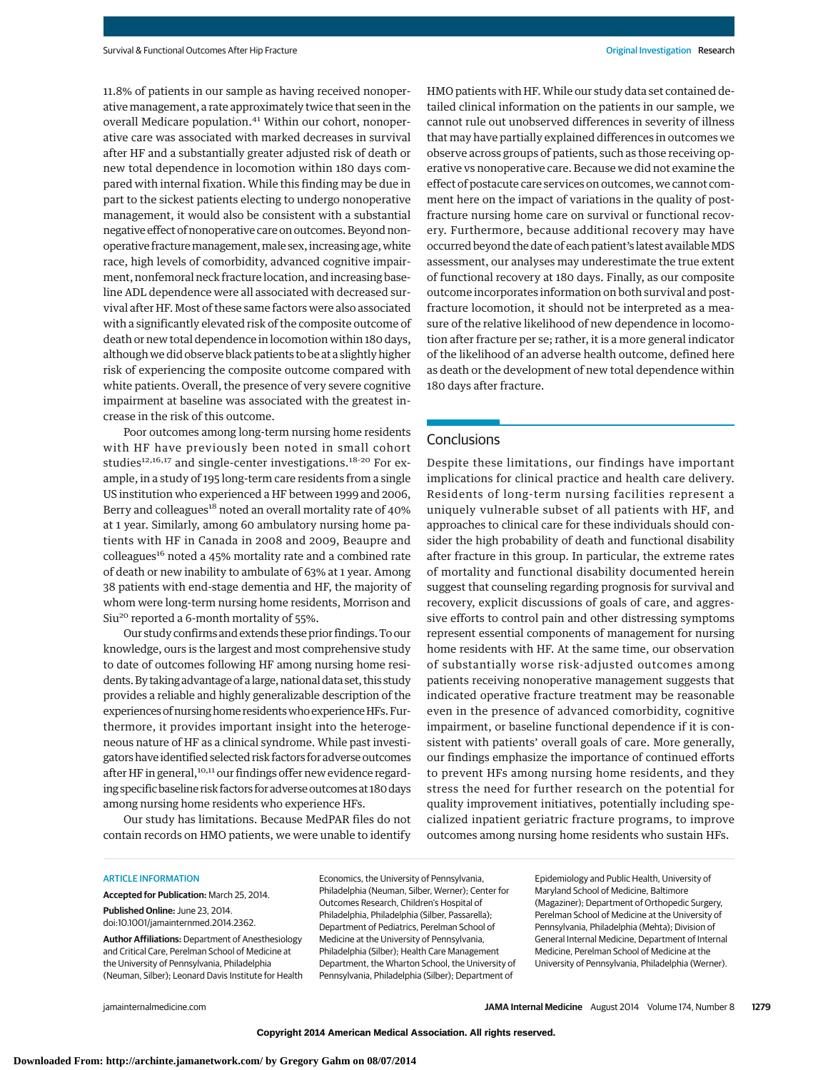11.8% of patients in our sample as having received nonoperative management, a rate approximately twice that seen in the overall Medicare population.<sup>41</sup> Within our cohort, nonoperative care was associated with marked decreases in survival after HF and a substantially greater adjusted risk of death or new total dependence in locomotion within 180 days compared with internal fixation. While this finding may be due in part to the sickest patients electing to undergo nonoperative management, it would also be consistent with a substantial negative effect of nonoperative care on outcomes. Beyond nonoperative fracture management, male sex, increasing age, white race, high levels of comorbidity, advanced cognitive impairment, nonfemoral neck fracture location, and increasing baseline ADL dependence were all associated with decreased survival after HF. Most of these same factors were also associated with a significantly elevated risk of the composite outcome of death or new total dependence in locomotion within 180 days, although we did observe black patients to be at a slightly higher risk of experiencing the composite outcome compared with white patients. Overall, the presence of very severe cognitive impairment at baseline was associated with the greatest increase in the risk of this outcome.

Poor outcomes among long-term nursing home residents with HF have previously been noted in small cohort studies<sup>12,16,17</sup> and single-center investigations.<sup>18-20</sup> For example, in a study of 195 long-term care residents from a single US institution who experienced a HF between 1999 and 2006, Berry and colleagues<sup>18</sup> noted an overall mortality rate of 40% at 1 year. Similarly, among 60 ambulatory nursing home patients with HF in Canada in 2008 and 2009, Beaupre and colleagues<sup>16</sup> noted a 45% mortality rate and a combined rate of death or new inability to ambulate of 63% at 1 year. Among 38 patients with end-stage dementia and HF, the majority of whom were long-term nursing home residents, Morrison and Siu<sup>20</sup> reported a 6-month mortality of 55%.

Our study confirms and extends these prior findings. To our knowledge, ours is the largest and most comprehensive study to date of outcomes following HF among nursing home residents. By taking advantage of a large, national data set, this study provides a reliable and highly generalizable description of the experiences of nursing home residents who experience HFs. Furthermore, it provides important insight into the heterogeneous nature of HF as a clinical syndrome. While past investigators have identified selected risk factors for adverse outcomes after HF in general,<sup>10,11</sup> our findings offer new evidence regarding specific baseline risk factors for adverse outcomes at 180 days among nursing home residents who experience HFs.

Our study has limitations. Because MedPAR files do not contain records on HMO patients, we were unable to identify

HMO patients with HF. While our study data set contained detailed clinical information on the patients in our sample, we cannot rule out unobserved differences in severity of illness that may have partially explained differences in outcomes we observe across groups of patients, such as those receiving operative vs nonoperative care. Because we did not examine the effect of postacute care services on outcomes, we cannot comment here on the impact of variations in the quality of postfracture nursing home care on survival or functional recovery. Furthermore, because additional recovery may have occurred beyond the date of each patient's latest availableMDS assessment, our analyses may underestimate the true extent of functional recovery at 180 days. Finally, as our composite outcome incorporates information on both survival and postfracture locomotion, it should not be interpreted as a measure of the relative likelihood of new dependence in locomotion after fracture per se; rather, it is a more general indicator of the likelihood of an adverse health outcome, defined here as death or the development of new total dependence within 180 days after fracture.

# **Conclusions**

Despite these limitations, our findings have important implications for clinical practice and health care delivery. Residents of long-term nursing facilities represent a uniquely vulnerable subset of all patients with HF, and approaches to clinical care for these individuals should consider the high probability of death and functional disability after fracture in this group. In particular, the extreme rates of mortality and functional disability documented herein suggest that counseling regarding prognosis for survival and recovery, explicit discussions of goals of care, and aggressive efforts to control pain and other distressing symptoms represent essential components of management for nursing home residents with HF. At the same time, our observation of substantially worse risk-adjusted outcomes among patients receiving nonoperative management suggests that indicated operative fracture treatment may be reasonable even in the presence of advanced comorbidity, cognitive impairment, or baseline functional dependence if it is consistent with patients' overall goals of care. More generally, our findings emphasize the importance of continued efforts to prevent HFs among nursing home residents, and they stress the need for further research on the potential for quality improvement initiatives, potentially including specialized inpatient geriatric fracture programs, to improve outcomes among nursing home residents who sustain HFs.

#### ARTICLE INFORMATION

**Accepted for Publication:** March 25, 2014.

**Published Online:** June 23, 2014. doi[:10.1001/jamainternmed.2014.2362.](http://jama.jamanetwork.com/article.aspx?doi=10.1001/jamainternmed.2014.2362&utm_campaign=articlePDF%26utm_medium=articlePDFlink%26utm_source=articlePDF%26utm_content=jamainternmed.2014.2362)

**Author Affiliations:** Department of Anesthesiology and Critical Care, Perelman School of Medicine at the University of Pennsylvania, Philadelphia (Neuman, Silber); Leonard Davis Institute for Health Economics, the University of Pennsylvania, Philadelphia (Neuman, Silber, Werner); Center for Outcomes Research, Children's Hospital of Philadelphia, Philadelphia (Silber, Passarella); Department of Pediatrics, Perelman School of Medicine at the University of Pennsylvania, Philadelphia (Silber); Health Care Management Department, the Wharton School, the University of Pennsylvania, Philadelphia (Silber); Department of

Epidemiology and Public Health, University of Maryland School of Medicine, Baltimore (Magaziner); Department of Orthopedic Surgery, Perelman School of Medicine at the University of Pennsylvania, Philadelphia (Mehta); Division of General Internal Medicine, Department of Internal Medicine, Perelman School of Medicine at the University of Pennsylvania, Philadelphia (Werner).